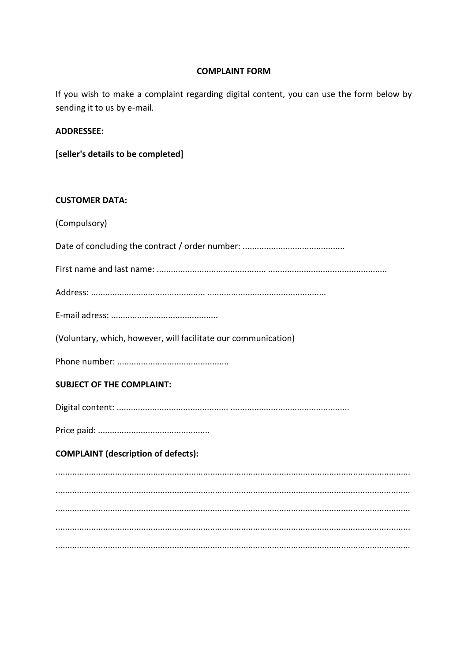#### **COMPLAINT FORM**

If you wish to make a complaint regarding digital content, you can use the form below by sending it to us by e-mail.

### **ADDRESSEE:**

|  |  |  | [seller's details to be completed] |
|--|--|--|------------------------------------|
|--|--|--|------------------------------------|

# **CUSTOMER DATA:**

(Compulsory)

| (Voluntary, which, however, will facilitate our communication) |
|----------------------------------------------------------------|
|                                                                |
| <b>SUBJECT OF THE COMPLAINT:</b>                               |
|                                                                |
|                                                                |
| <b>COMPLAINT (description of defects):</b>                     |
|                                                                |
|                                                                |
|                                                                |
|                                                                |
|                                                                |
|                                                                |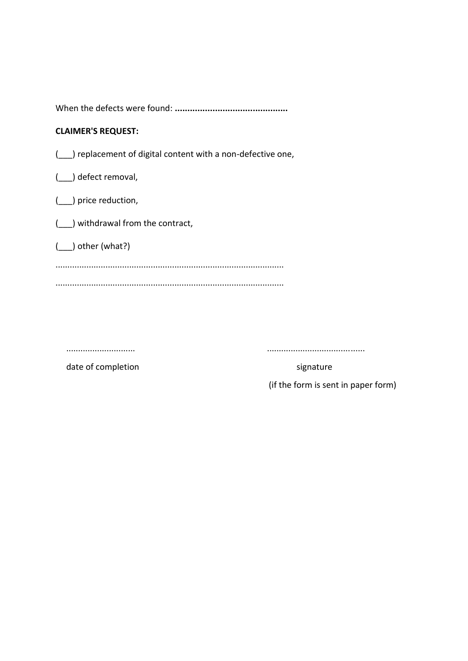## **CLAIMER'S REQUEST:**

(\_\_\_) replacement of digital content with a non-defective one,

(\_\_\_) defect removal,

(\_\_\_) price reduction,

(\_\_\_) withdrawal from the contract,

(\_\_\_) other (what?)

................................................................................................

................................................................................................

............................. .........................................

date of completion and the signature signature

(if the form is sent in paper form)